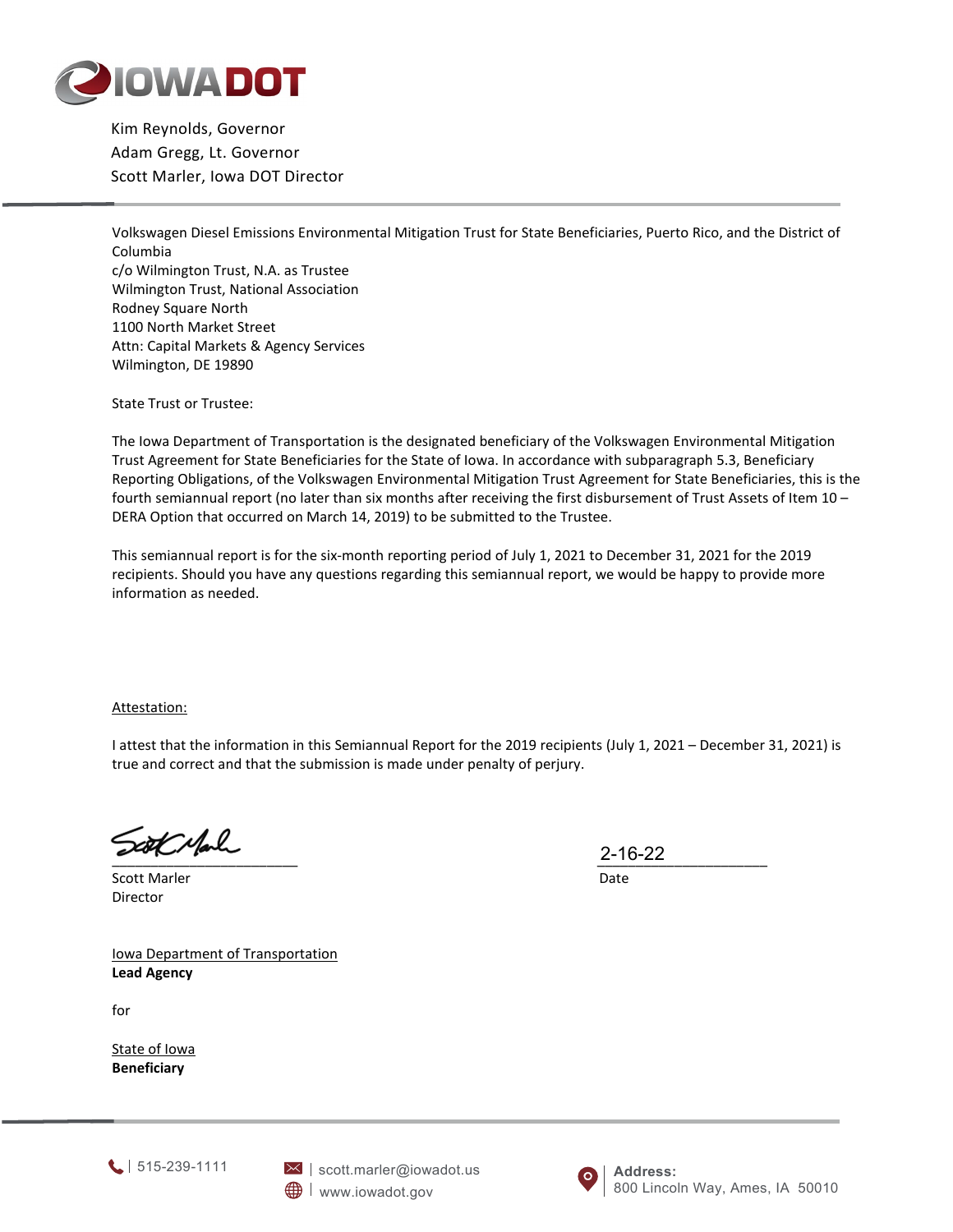

Kim Reynolds, Governor Adam Gregg, Lt. Governor Scott Marler, Iowa DOT Director

Volkswagen Diesel Emissions Environmental Mitigation Trust for State Beneficiaries, Puerto Rico, and the District of Columbia c/o Wilmington Trust, N.A. as Trustee Wilmington Trust, National Association Rodney Square North 1100 North Market Street Attn: Capital Markets & Agency Services Wilmington, DE 19890

State Trust or Trustee:

The Iowa Department of Transportation is the designated beneficiary of the Volkswagen Environmental Mitigation Trust Agreement for State Beneficiaries for the State of Iowa. In accordance with subparagraph 5.3, Beneficiary Reporting Obligations, of the Volkswagen Environmental Mitigation Trust Agreement for State Beneficiaries, this is the fourth semiannual report (no later than six months after receiving the first disbursement of Trust Assets of Item 10 – DERA Option that occurred on March 14, 2019) to be submitted to the Trustee.

This semiannual report is for the six-month reporting period of July 1, 2021 to December 31, 2021 for the 2019 recipients. Should you have any questions regarding this semiannual report, we would be happy to provide more information as needed.

Attestation:

I attest that the information in this Semiannual Report for the 2019 recipients (July 1, 2021 – December 31, 2021) is true and correct and that the submission is made under penalty of perjury.

Scott Mark

Scott Marler Date Director

Iowa Department of Transportation **Lead Agency**

for

State of Iowa **Beneficiary**

 $2-10-22$  2-10-22 2-16-22

1515-239-1111



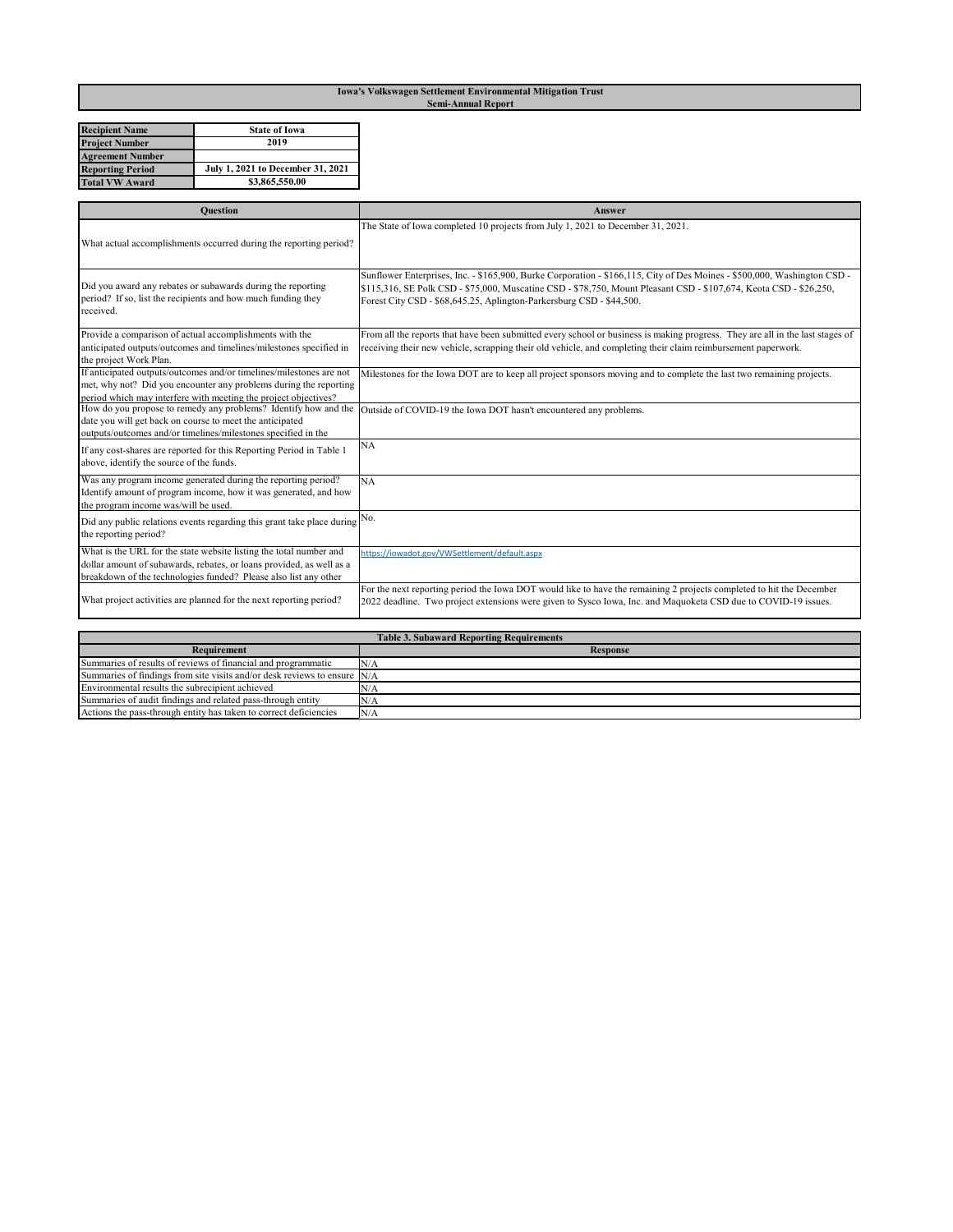## **Iowa's Volkswagen Settlement Environmental Mitigation Trust Semi-Annual Report**

| <b>Recipient Name</b>   | <b>State of Iowa</b>              |
|-------------------------|-----------------------------------|
| <b>Project Number</b>   | 2019                              |
| <b>Agreement Number</b> |                                   |
| <b>Reporting Period</b> | July 1, 2021 to December 31, 2021 |
| <b>Total VW Award</b>   | \$3,865,550.00                    |

| <b>Ouestion</b>                                                                                                                                                                                             | Answer                                                                                                                                                                                                                                                                                                                 |
|-------------------------------------------------------------------------------------------------------------------------------------------------------------------------------------------------------------|------------------------------------------------------------------------------------------------------------------------------------------------------------------------------------------------------------------------------------------------------------------------------------------------------------------------|
|                                                                                                                                                                                                             | The State of Iowa completed 10 projects from July 1, 2021 to December 31, 2021.                                                                                                                                                                                                                                        |
| What actual accomplishments occurred during the reporting period?                                                                                                                                           |                                                                                                                                                                                                                                                                                                                        |
| Did you award any rebates or subawards during the reporting<br>period? If so, list the recipients and how much funding they<br>received.                                                                    | Sunflower Enterprises, Inc. - \$165,900, Burke Corporation - \$166,115, City of Des Moines - \$500,000, Washington CSD -<br>\$115,316, SE Polk CSD - \$75,000, Muscatine CSD - \$78,750, Mount Pleasant CSD - \$107,674, Keota CSD - \$26,250,<br>Forest City CSD - \$68,645.25, Aplington-Parkersburg CSD - \$44,500. |
| Provide a comparison of actual accomplishments with the                                                                                                                                                     | From all the reports that have been submitted every school or business is making progress. They are all in the last stages of                                                                                                                                                                                          |
| anticipated outputs/outcomes and timelines/milestones specified in<br>the project Work Plan.                                                                                                                | receiving their new vehicle, scrapping their old vehicle, and completing their claim reimbursement paperwork.                                                                                                                                                                                                          |
| If anticipated outputs/outcomes and/or timelines/milestones are not<br>met, why not? Did you encounter any problems during the reporting<br>period which may interfere with meeting the project objectives? | Milestones for the Iowa DOT are to keep all project sponsors moving and to complete the last two remaining projects.                                                                                                                                                                                                   |
| How do you propose to remedy any problems? Identify how and the<br>date you will get back on course to meet the anticipated<br>outputs/outcomes and/or timelines/milestones specified in the                | Outside of COVID-19 the Iowa DOT hasn't encountered any problems.                                                                                                                                                                                                                                                      |
| If any cost-shares are reported for this Reporting Period in Table 1<br>above, identify the source of the funds.                                                                                            | <b>NA</b>                                                                                                                                                                                                                                                                                                              |
| Was any program income generated during the reporting period?<br>Identify amount of program income, how it was generated, and how<br>the program income was/will be used.                                   | NA                                                                                                                                                                                                                                                                                                                     |
| Did any public relations events regarding this grant take place during<br>the reporting period?                                                                                                             | No.                                                                                                                                                                                                                                                                                                                    |
| What is the URL for the state website listing the total number and                                                                                                                                          | https://iowadot.gov/VWSettlement/default.aspx                                                                                                                                                                                                                                                                          |
| dollar amount of subawards, rebates, or loans provided, as well as a<br>breakdown of the technologies funded? Please also list any other                                                                    |                                                                                                                                                                                                                                                                                                                        |
| What project activities are planned for the next reporting period?                                                                                                                                          | For the next reporting period the Iowa DOT would like to have the remaining 2 projects completed to hit the December<br>2022 deadline. Two project extensions were given to Sysco Iowa, Inc. and Maquoketa CSD due to COVID-19 issues.                                                                                 |

| <b>Table 3. Subaward Reporting Requirements</b>                            |          |
|----------------------------------------------------------------------------|----------|
| Requirement                                                                | Response |
| Summaries of results of reviews of financial and programmatic              | N/A      |
| Summaries of findings from site visits and/or desk reviews to ensure $N/A$ |          |
| Environmental results the subrecipient achieved                            | N/A      |
| Summaries of audit findings and related pass-through entity                | N/A      |
| Actions the pass-through entity has taken to correct deficiencies          | N/A      |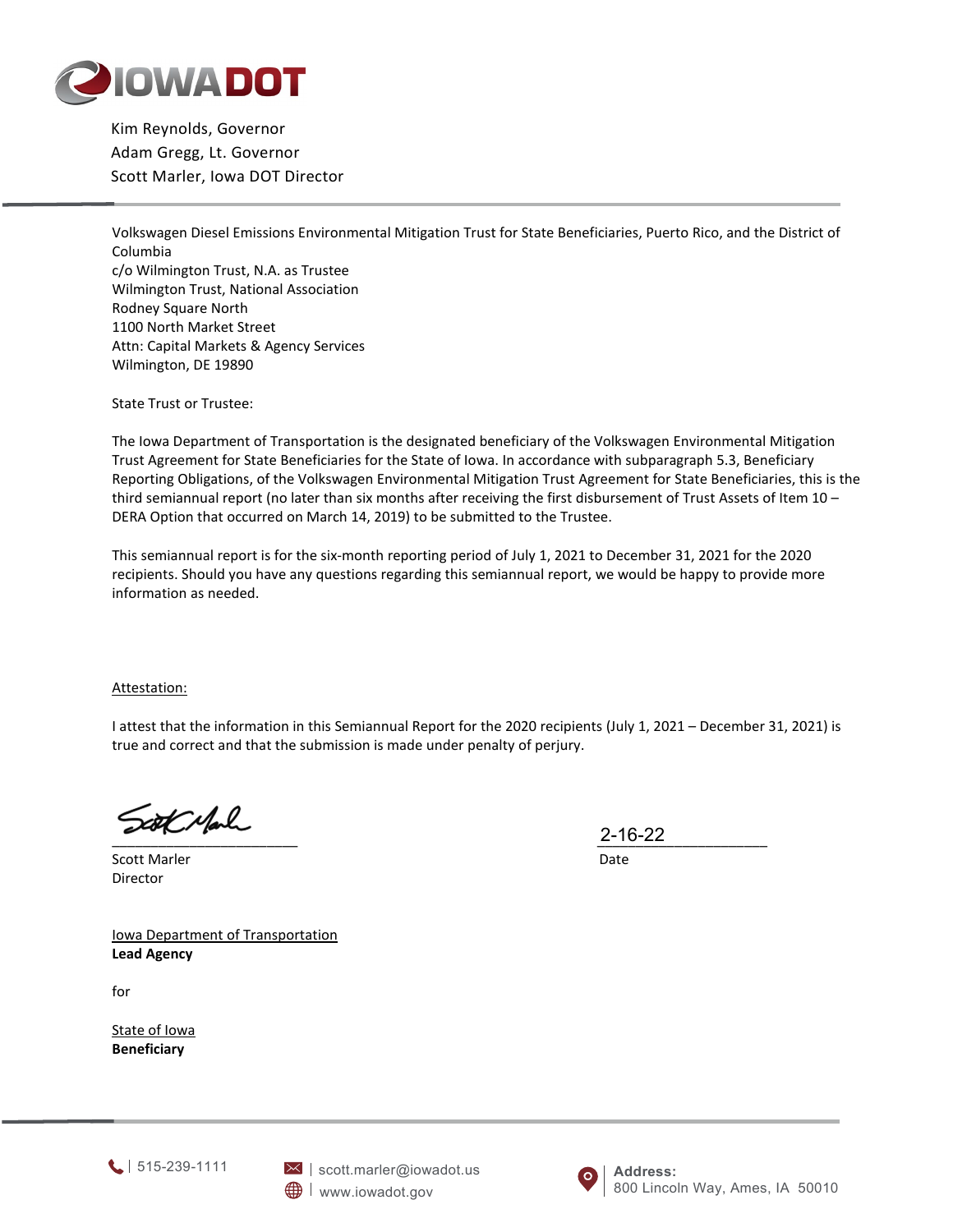

Kim Reynolds, Governor Adam Gregg, Lt. Governor Scott Marler, Iowa DOT Director

Volkswagen Diesel Emissions Environmental Mitigation Trust for State Beneficiaries, Puerto Rico, and the District of Columbia c/o Wilmington Trust, N.A. as Trustee Wilmington Trust, National Association Rodney Square North 1100 North Market Street Attn: Capital Markets & Agency Services Wilmington, DE 19890

State Trust or Trustee:

The Iowa Department of Transportation is the designated beneficiary of the Volkswagen Environmental Mitigation Trust Agreement for State Beneficiaries for the State of Iowa. In accordance with subparagraph 5.3, Beneficiary Reporting Obligations, of the Volkswagen Environmental Mitigation Trust Agreement for State Beneficiaries, this is the third semiannual report (no later than six months after receiving the first disbursement of Trust Assets of Item 10 -DERA Option that occurred on March 14, 2019) to be submitted to the Trustee.

This semiannual report is for the six-month reporting period of July 1, 2021 to December 31, 2021 for the 2020 recipients. Should you have any questions regarding this semiannual report, we would be happy to provide more information as needed.

Attestation:

I attest that the information in this Semiannual Report for the 2020 recipients (July 1, 2021 – December 31, 2021) is true and correct and that the submission is made under penalty of perjury.

Scott Marler **Date** Director

 $2-10-22$ 2-16-22

Iowa Department of Transportation **Lead Agency**

for

State of Iowa **Beneficiary**



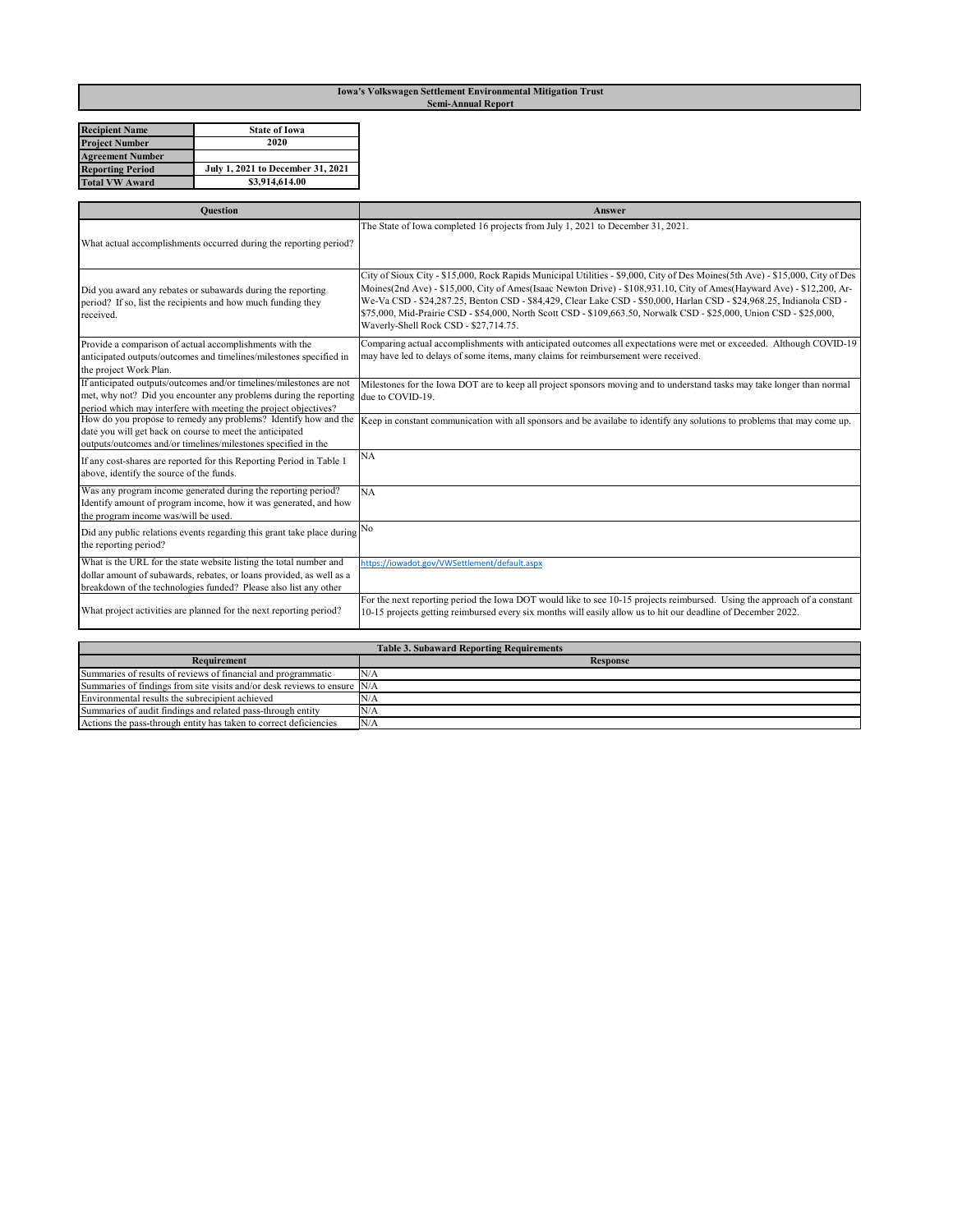## **Iowa's Volkswagen Settlement Environmental Mitigation Trust Semi-Annual Report**

| <b>Recipient Name</b>   | <b>State of Iowa</b>              |
|-------------------------|-----------------------------------|
| <b>Project Number</b>   | 2020                              |
| <b>Agreement Number</b> |                                   |
| <b>Reporting Period</b> | July 1, 2021 to December 31, 2021 |
| <b>Total VW Award</b>   | \$3,914,614.00                    |

| <b>Ouestion</b>                                                                                                                                                                                                | Answer                                                                                                                                                                                                                                                                                                                                                                                                                                                                                                                                          |
|----------------------------------------------------------------------------------------------------------------------------------------------------------------------------------------------------------------|-------------------------------------------------------------------------------------------------------------------------------------------------------------------------------------------------------------------------------------------------------------------------------------------------------------------------------------------------------------------------------------------------------------------------------------------------------------------------------------------------------------------------------------------------|
| What actual accomplishments occurred during the reporting period?                                                                                                                                              | The State of Iowa completed 16 projects from July 1, 2021 to December 31, 2021.                                                                                                                                                                                                                                                                                                                                                                                                                                                                 |
| Did you award any rebates or subawards during the reporting<br>period? If so, list the recipients and how much funding they<br>received.                                                                       | City of Sioux City - \$15,000, Rock Rapids Municipal Utilities - \$9,000, City of Des Moines(5th Ave) - \$15,000, City of Des<br>Moines(2nd Ave) - \$15,000, City of Ames(Isaac Newton Drive) - \$108,931.10, City of Ames(Hayward Ave) - \$12,200, Ar-<br>We-Va CSD - \$24,287.25, Benton CSD - \$84,429, Clear Lake CSD - \$50,000, Harlan CSD - \$24,968.25, Indianola CSD -<br>\$75,000, Mid-Prairie CSD - \$54,000, North Scott CSD - \$109,663.50, Norwalk CSD - \$25,000, Union CSD - \$25,000,<br>Waverly-Shell Rock CSD - \$27,714.75. |
| Provide a comparison of actual accomplishments with the<br>anticipated outputs/outcomes and timelines/milestones specified in<br>the project Work Plan.                                                        | Comparing actual accomplishments with anticipated outcomes all expectations were met or exceeded. Although COVID-19<br>may have led to delays of some items, many claims for reimbursement were received.                                                                                                                                                                                                                                                                                                                                       |
| If anticipated outputs/outcomes and/or timelines/milestones are not<br>met, why not? Did you encounter any problems during the reporting<br>period which may interfere with meeting the project objectives?    | Milestones for the Iowa DOT are to keep all project sponsors moving and to understand tasks may take longer than normal<br>due to COVID-19.                                                                                                                                                                                                                                                                                                                                                                                                     |
| How do you propose to remedy any problems? Identify how and the<br>date you will get back on course to meet the anticipated<br>outputs/outcomes and/or timelines/milestones specified in the                   | Keep in constant communication with all sponsors and be availabe to identify any solutions to problems that may come up.                                                                                                                                                                                                                                                                                                                                                                                                                        |
| If any cost-shares are reported for this Reporting Period in Table 1<br>above, identify the source of the funds.                                                                                               | <b>NA</b>                                                                                                                                                                                                                                                                                                                                                                                                                                                                                                                                       |
| Was any program income generated during the reporting period?<br>Identify amount of program income, how it was generated, and how<br>the program income was/will be used.                                      | <b>NA</b>                                                                                                                                                                                                                                                                                                                                                                                                                                                                                                                                       |
| Did any public relations events regarding this grant take place during<br>the reporting period?                                                                                                                | No                                                                                                                                                                                                                                                                                                                                                                                                                                                                                                                                              |
| What is the URL for the state website listing the total number and<br>dollar amount of subawards, rebates, or loans provided, as well as a<br>breakdown of the technologies funded? Please also list any other | https://iowadot.gov/VWSettlement/default.aspx                                                                                                                                                                                                                                                                                                                                                                                                                                                                                                   |
| What project activities are planned for the next reporting period?                                                                                                                                             | For the next reporting period the Iowa DOT would like to see 10-15 projects reimbursed. Using the approach of a constant<br>10-15 projects getting reimbursed every six months will easily allow us to hit our deadline of December 2022.                                                                                                                                                                                                                                                                                                       |
| <b>Table 3. Subaward Reporting Requirements</b>                                                                                                                                                                |                                                                                                                                                                                                                                                                                                                                                                                                                                                                                                                                                 |
| <b>Requirement</b>                                                                                                                                                                                             | <b>Response</b>                                                                                                                                                                                                                                                                                                                                                                                                                                                                                                                                 |

| Requirement                                                                | <b>Response</b> |
|----------------------------------------------------------------------------|-----------------|
| Summaries of results of reviews of financial and programmatic              | N/A             |
| Summaries of findings from site visits and/or desk reviews to ensure $N/A$ |                 |
| Environmental results the subrecipient achieved                            | N/A             |
| Summaries of audit findings and related pass-through entity                | N/A             |
| Actions the pass-through entity has taken to correct deficiencies          | N/A             |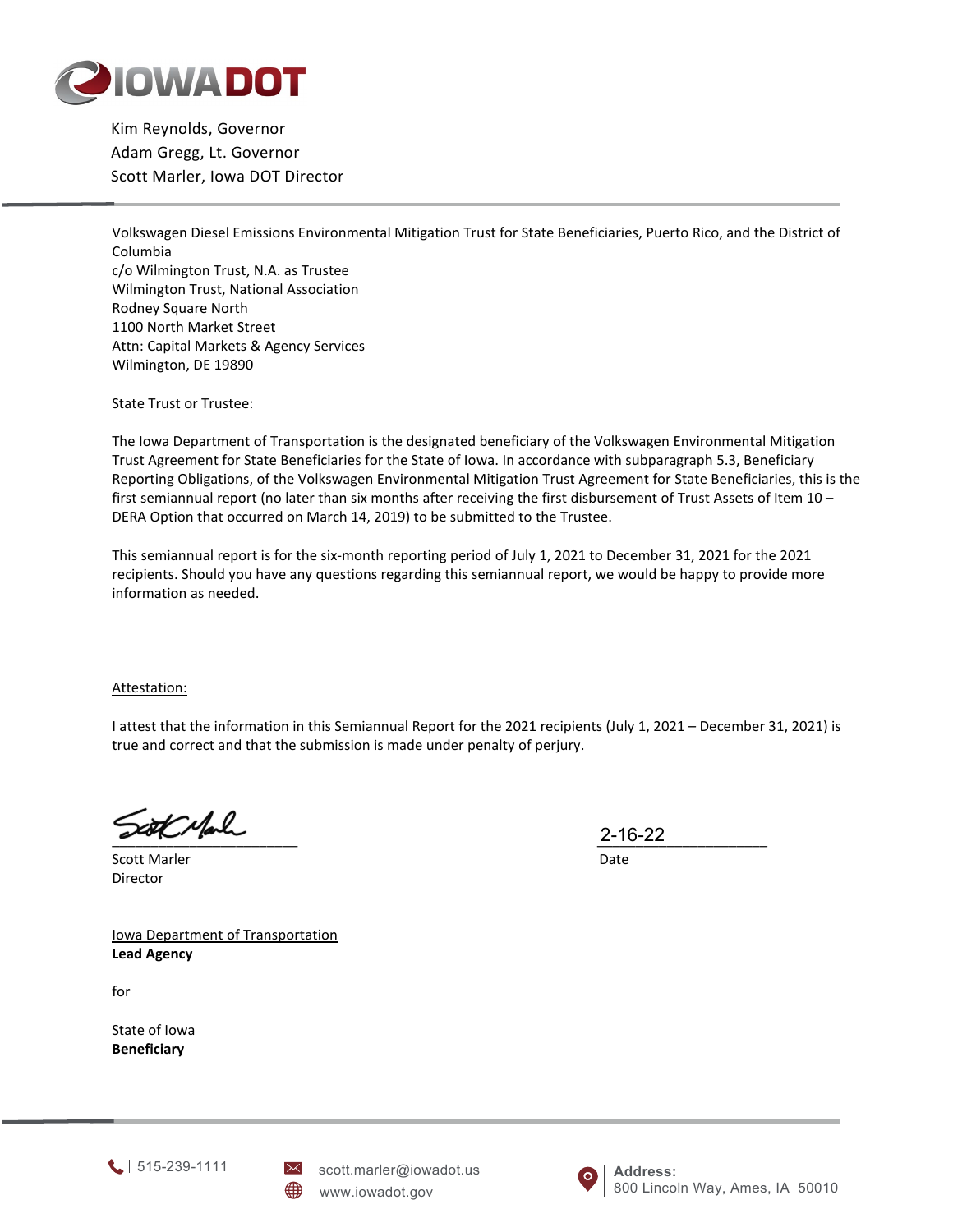

Kim Reynolds, Governor Adam Gregg, Lt. Governor Scott Marler, Iowa DOT Director

Volkswagen Diesel Emissions Environmental Mitigation Trust for State Beneficiaries, Puerto Rico, and the District of Columbia c/o Wilmington Trust, N.A. as Trustee Wilmington Trust, National Association Rodney Square North 1100 North Market Street Attn: Capital Markets & Agency Services Wilmington, DE 19890

State Trust or Trustee:

The Iowa Department of Transportation is the designated beneficiary of the Volkswagen Environmental Mitigation Trust Agreement for State Beneficiaries for the State of Iowa. In accordance with subparagraph 5.3, Beneficiary Reporting Obligations, of the Volkswagen Environmental Mitigation Trust Agreement for State Beneficiaries, this is the first semiannual report (no later than six months after receiving the first disbursement of Trust Assets of Item 10 – DERA Option that occurred on March 14, 2019) to be submitted to the Trustee.

This semiannual report is for the six-month reporting period of July 1, 2021 to December 31, 2021 for the 2021 recipients. Should you have any questions regarding this semiannual report, we would be happy to provide more information as needed.

Attestation:

I attest that the information in this Semiannual Report for the 2021 recipients (July 1, 2021 – December 31, 2021) is true and correct and that the submission is made under penalty of perjury.

 $Z=10-ZZ$ 

Scott Marler **Date** Director

2-16-22

Iowa Department of Transportation **Lead Agency**

for

State of Iowa **Beneficiary**